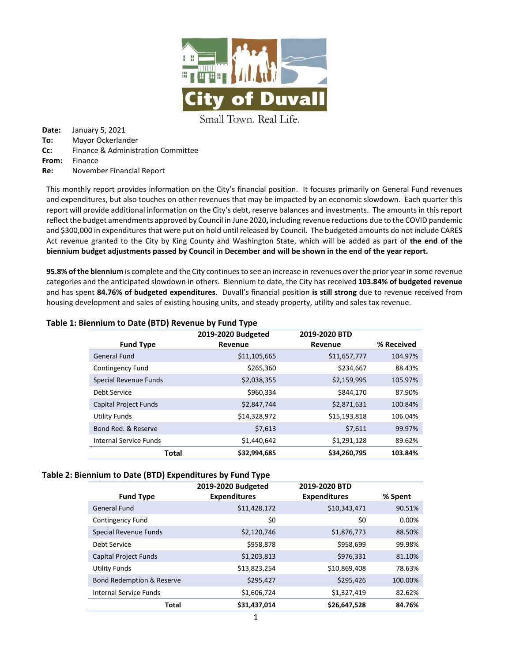

Small Town. Real Life.

**Date:** January 5, 2021 **To:** Mayor Ockerlander **Cc:** Finance & Administration Committee **From:** Finance **Re:** November Financial Report

This monthly report provides information on the City's financial position. It focuses primarily on General Fund revenues and expenditures, but also touches on other revenues that may be impacted by an economic slowdown. Each quarter this report will provide additional information on the City's debt, reserve balances and investments. The amounts in this report reflect the budget amendments approved by Council in June 2020**,** including revenue reductions due to the COVID pandemic and \$300,000 in expenditures that were put on hold until released by Council**.** The budgeted amounts do not include CARES Act revenue granted to the City by King County and Washington State, which will be added as part of **the end of the biennium budget adjustments passed by Council in December and will be shown in the end of the year report.**

**95.8% of the biennium** is complete and the City continues to see an increase in revenues over the prior year in some revenue categories and the anticipated slowdown in others. Biennium to date, the City has received **103.84% of budgeted revenue** and has spent **84.76% of budgeted expenditures**. Duvall's financial position **is still strong** due to revenue received from housing development and sales of existing housing units, and steady property, utility and sales tax revenue.

|                              | . .<br>2019-2020 Budgeted | 2019-2020 BTD |            |
|------------------------------|---------------------------|---------------|------------|
| <b>Fund Type</b>             | Revenue                   | Revenue       | % Received |
| <b>General Fund</b>          | \$11,105,665              | \$11,657,777  | 104.97%    |
| Contingency Fund             | \$265,360                 | \$234,667     | 88.43%     |
| Special Revenue Funds        | \$2,038,355               | \$2,159,995   | 105.97%    |
| Debt Service                 | \$960,334                 | \$844,170     | 87.90%     |
| <b>Capital Project Funds</b> | \$2,847,744               | \$2,871,631   | 100.84%    |
| <b>Utility Funds</b>         | \$14,328,972              | \$15,193,818  | 106.04%    |
| Bond Red. & Reserve          | \$7,613                   | \$7,611       | 99.97%     |
| Internal Service Funds       | \$1,440,642               | \$1,291,128   | 89.62%     |
| Total                        | \$32,994,685              | \$34,260,795  | 103.84%    |

## **Table 1: Biennium to Date (BTD) Revenue by Fund Type**

## **Table 2: Biennium to Date (BTD) Expenditures by Fund Type**

|                                      | 2019-2020 Budgeted  | 2019-2020 BTD       |         |
|--------------------------------------|---------------------|---------------------|---------|
| <b>Fund Type</b>                     | <b>Expenditures</b> | <b>Expenditures</b> | % Spent |
| <b>General Fund</b>                  | \$11,428,172        | \$10,343,471        | 90.51%  |
| <b>Contingency Fund</b>              | \$0                 | \$0                 | 0.00%   |
| <b>Special Revenue Funds</b>         | \$2,120,746         | \$1,876,773         | 88.50%  |
| Debt Service                         | \$958,878           | \$958,699           | 99.98%  |
| <b>Capital Project Funds</b>         | \$1,203,813         | \$976,331           | 81.10%  |
| <b>Utility Funds</b>                 | \$13,823,254        | \$10,869,408        | 78.63%  |
| <b>Bond Redemption &amp; Reserve</b> | \$295,427           | \$295,426           | 100.00% |
| <b>Internal Service Funds</b>        | \$1,606,724         | \$1,327,419         | 82.62%  |
| <b>Total</b>                         | \$31,437,014        | \$26,647,528        | 84.76%  |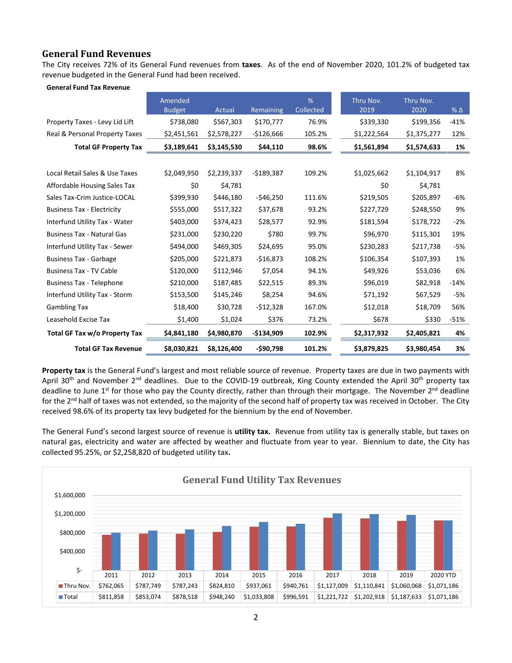# **General Fund Revenues**

The City receives 72% of its General Fund revenues from **taxes**. As of the end of November 2020, 101.2% of budgeted tax revenue budgeted in the General Fund had been received.

|  |  |  | <b>General Fund Tax Revenue</b> |
|--|--|--|---------------------------------|
|--|--|--|---------------------------------|

|                                   | Amended<br><b>Budget</b> | Actual      | Remaining   | %<br>Collected | Thru Nov.<br>2019 | Thru Nov.<br>2020 | $%$ $\triangle$ |
|-----------------------------------|--------------------------|-------------|-------------|----------------|-------------------|-------------------|-----------------|
| Property Taxes - Levy Lid Lift    | \$738,080                | \$567,303   | \$170,777   | 76.9%          | \$339,330         | \$199,356         | $-41%$          |
| Real & Personal Property Taxes    | \$2,451,561              | \$2,578,227 | $-$126,666$ | 105.2%         | \$1,222,564       | \$1,375,277       | 12%             |
| <b>Total GF Property Tax</b>      | \$3,189,641              | \$3,145,530 | \$44,110    | 98.6%          | \$1,561,894       | \$1,574,633       | 1%              |
|                                   |                          |             |             |                |                   |                   |                 |
| Local Retail Sales & Use Taxes    | \$2,049,950              | \$2,239,337 | $-5189,387$ | 109.2%         | \$1,025,662       | \$1,104,917       | 8%              |
| Affordable Housing Sales Tax      | \$0                      | \$4,781     |             |                | \$0               | \$4,781           |                 |
| Sales Tax-Crim Justice-LOCAL      | \$399,930                | \$446,180   | $-546,250$  | 111.6%         | \$219,505         | \$205,897         | -6%             |
| <b>Business Tax - Electricity</b> | \$555,000                | \$517,322   | \$37,678    | 93.2%          | \$227,729         | \$248,550         | 9%              |
| Interfund Utility Tax - Water     | \$403,000                | \$374,423   | \$28,577    | 92.9%          | \$181,594         | \$178,722         | $-2%$           |
| <b>Business Tax - Natural Gas</b> | \$231,000                | \$230,220   | \$780       | 99.7%          | \$96,970          | \$115,301         | 19%             |
| Interfund Utility Tax - Sewer     | \$494,000                | \$469,305   | \$24,695    | 95.0%          | \$230,283         | \$217,738         | $-5%$           |
| <b>Business Tax - Garbage</b>     | \$205,000                | \$221,873   | $-$16,873$  | 108.2%         | \$106,354         | \$107,393         | 1%              |
| <b>Business Tax - TV Cable</b>    | \$120,000                | \$112,946   | \$7,054     | 94.1%          | \$49,926          | \$53,036          | 6%              |
| <b>Business Tax - Telephone</b>   | \$210,000                | \$187,485   | \$22,515    | 89.3%          | \$96,019          | \$82,918          | $-14%$          |
| Interfund Utility Tax - Storm     | \$153,500                | \$145,246   | \$8,254     | 94.6%          | \$71,192          | \$67,529          | -5%             |
| <b>Gambling Tax</b>               | \$18,400                 | \$30,728    | $-512,328$  | 167.0%         | \$12,018          | \$18,709          | 56%             |
| Leasehold Excise Tax              | \$1,400                  | \$1,024     | \$376       | 73.2%          | \$678             | \$330             | $-51%$          |
| Total GF Tax w/o Property Tax     | \$4,841,180              | \$4,980,870 | $-$134,909$ | 102.9%         | \$2,317,932       | \$2,405,821       | 4%              |
| <b>Total GF Tax Revenue</b>       | \$8,030,821              | \$8,126,400 | $-$90,798$  | 101.2%         | \$3,879,825       | \$3,980,454       | 3%              |

**Property tax** is the General Fund's largest and most reliable source of revenue. Property taxes are due in two payments with April 30<sup>th</sup> and November 2<sup>nd</sup> deadlines. Due to the COVID-19 outbreak, King County extended the April 30<sup>th</sup> property tax deadline to June  $1^{st}$  for those who pay the County directly, rather than through their mortgage. The November  $2^{nd}$  deadline for the 2<sup>nd</sup> half of taxes was not extended, so the majority of the second half of property tax was received in October. The City received 98.6% of its property tax levy budgeted for the biennium by the end of November.

The General Fund's second largest source of revenue is **utility tax.** Revenue from utility tax is generally stable, but taxes on natural gas, electricity and water are affected by weather and fluctuate from year to year. Biennium to date, the City has collected 95.25%, or \$2,258,820 of budgeted utility tax**.** 

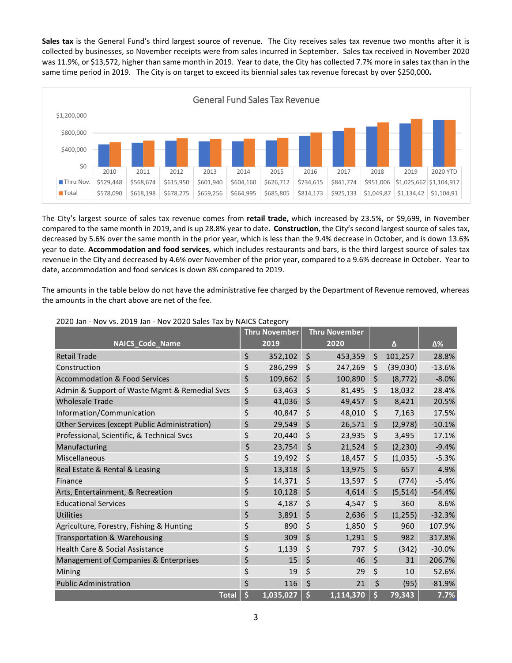**Sales tax** is the General Fund's third largest source of revenue. The City receives sales tax revenue two months after it is collected by businesses, so November receipts were from sales incurred in September. Sales tax received in November 2020 was 11.9%, or \$13,572, higher than same month in 2019. Year to date, the City has collected 7.7% more in sales tax than in the same time period in 2019. The City is on target to exceed its biennial sales tax revenue forecast by over \$250,000**.**



The City's largest source of sales tax revenue comes from **retail trade,** which increased by 23.5%, or \$9,699, in November compared to the same month in 2019, and is up 28.8% year to date. **Construction**, the City's second largest source of sales tax, decreased by 5.6% over the same month in the prior year, which is less than the 9.4% decrease in October, and is down 13.6% year to date. **Accommodation and food services**, which includes restaurants and bars, is the third largest source of sales tax revenue in the City and decreased by 4.6% over November of the prior year, compared to a 9.6% decrease in October. Year to date, accommodation and food services is down 8% compared to 2019.

The amounts in the table below do not have the administrative fee charged by the Department of Revenue removed, whereas the amounts in the chart above are net of the fee.

|                                               | <b>Thru November</b> |         | <b>Thru November</b> |         |          |          |
|-----------------------------------------------|----------------------|---------|----------------------|---------|----------|----------|
| <b>NAICS_Code_Name</b>                        | 2019                 |         | 2020                 |         | Δ        | Δ%       |
| <b>Retail Trade</b>                           | \$<br>352,102        | \$      | 453,359              | \$      | 101,257  | 28.8%    |
| Construction                                  | \$<br>286,299        | \$      | 247,269              | \$      | (39,030) | $-13.6%$ |
| <b>Accommodation &amp; Food Services</b>      | \$<br>109,662        | \$      | 100,890              | \$      | (8, 772) | $-8.0%$  |
| Admin & Support of Waste Mgmt & Remedial Svcs | \$<br>63,463         | \$      | 81,495               | \$      | 18,032   | 28.4%    |
| <b>Wholesale Trade</b>                        | \$<br>41,036         | \$      | 49,457               | $\zeta$ | 8,421    | 20.5%    |
| Information/Communication                     | \$<br>40,847         | \$      | 48,010               | \$      | 7,163    | 17.5%    |
| Other Services (except Public Administration) | \$<br>29,549         | \$      | 26,571               | $\zeta$ | (2,978)  | $-10.1%$ |
| Professional, Scientific, & Technical Svcs    | \$<br>20,440         | \$      | 23,935               | $\zeta$ | 3,495    | 17.1%    |
| Manufacturing                                 | \$<br>23,754         | \$      | 21,524               | \$      | (2, 230) | $-9.4%$  |
| Miscellaneous                                 | \$<br>19,492         | \$      | 18,457               | \$      | (1,035)  | $-5.3%$  |
| Real Estate & Rental & Leasing                | \$<br>13,318         | \$      | 13,975               | \$      | 657      | 4.9%     |
| Finance                                       | \$<br>14,371         | \$      | 13,597               | \$      | (774)    | $-5.4%$  |
| Arts, Entertainment, & Recreation             | \$<br>10,128         | $\zeta$ | 4,614                | $\zeta$ | (5, 514) | $-54.4%$ |
| <b>Educational Services</b>                   | \$<br>4,187          | \$      | 4,547                | \$      | 360      | 8.6%     |
| <b>Utilities</b>                              | \$<br>3,891          | \$      | 2,636                | \$      | (1,255)  | $-32.3%$ |
| Agriculture, Forestry, Fishing & Hunting      | \$<br>890            | \$      | 1,850                | \$      | 960      | 107.9%   |
| Transportation & Warehousing                  | \$<br>309            | \$      | 1,291                | \$      | 982      | 317.8%   |
| Health Care & Social Assistance               | \$<br>1,139          | \$      | 797                  | \$      | (342)    | $-30.0%$ |
| Management of Companies & Enterprises         | \$<br>15             | \$      | 46                   | $\zeta$ | 31       | 206.7%   |
| Mining                                        | \$<br>19             | \$      | 29                   | \$      | 10       | 52.6%    |
| <b>Public Administration</b>                  | \$<br>116            | \$      | 21                   | \$      | (95)     | $-81.9%$ |
| <b>Total</b>                                  | \$<br>1,035,027      | \$      | 1,114,370            | \$      | 79,343   | 7.7%     |

### 2020 Jan - Nov vs. 2019 Jan - Nov 2020 Sales Tax by NAICS Category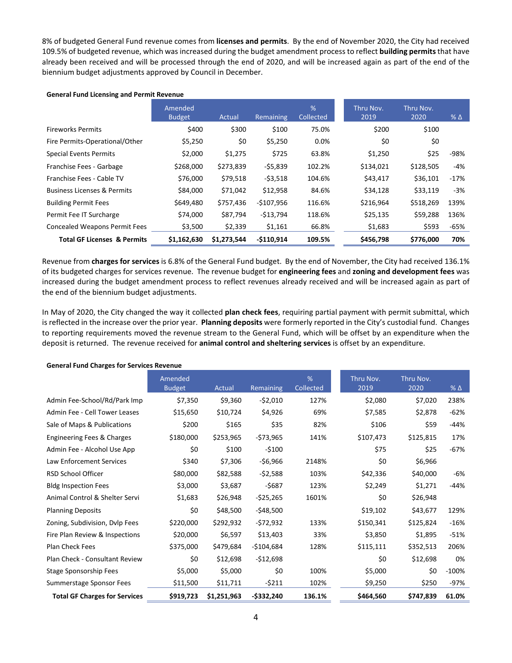8% of budgeted General Fund revenue comes from **licenses and permits**. By the end of November 2020, the City had received 109.5% of budgeted revenue, which was increased during the budget amendment process to reflect **building permits**that have already been received and will be processed through the end of 2020, and will be increased again as part of the end of the biennium budget adjustments approved by Council in December.

### **General Fund Licensing and Permit Revenue**

|                                        | Amended<br><b>Budget</b> | Actual      | Remaining   | %<br>Collected | Thru Nov.<br>2019 | Thru Nov.<br>2020 | $%$ $\Delta$ |
|----------------------------------------|--------------------------|-------------|-------------|----------------|-------------------|-------------------|--------------|
| <b>Fireworks Permits</b>               | \$400                    | \$300       | \$100       | 75.0%          | \$200             | \$100             |              |
| Fire Permits-Operational/Other         | \$5,250                  | \$0         | \$5,250     | $0.0\%$        | \$0               | \$0               |              |
| <b>Special Events Permits</b>          | \$2,000                  | \$1,275     | \$725       | 63.8%          | \$1,250           | \$25              | -98%         |
| Franchise Fees - Garbage               | \$268,000                | \$273,839   | $-55,839$   | 102.2%         | \$134,021         | \$128,505         | -4%          |
| Franchise Fees - Cable TV              | \$76,000                 | \$79,518    | $-$ \$3,518 | 104.6%         | \$43,417          | \$36.101          | $-17%$       |
| <b>Business Licenses &amp; Permits</b> | \$84,000                 | \$71,042    | \$12,958    | 84.6%          | \$34,128          | \$33,119          | $-3%$        |
| <b>Building Permit Fees</b>            | \$649,480                | \$757,436   | $-$107,956$ | 116.6%         | \$216,964         | \$518,269         | 139%         |
| Permit Fee IT Surcharge                | \$74,000                 | \$87,794    | -\$13,794   | 118.6%         | \$25,135          | \$59,288          | 136%         |
| <b>Concealed Weapons Permit Fees</b>   | \$3,500                  | \$2,339     | \$1,161     | 66.8%          | \$1,683           | \$593             | -65%         |
| <b>Total GF Licenses &amp; Permits</b> | \$1,162,630              | \$1,273,544 | $-5110,914$ | 109.5%         | \$456,798         | \$776,000         | 70%          |

Revenue from **charges for services** is 6.8% of the General Fund budget. By the end of November, the City had received 136.1% of its budgeted charges for services revenue. The revenue budget for **engineering fees** and **zoning and development fees** was increased during the budget amendment process to reflect revenues already received and will be increased again as part of the end of the biennium budget adjustments.

In May of 2020, the City changed the way it collected **plan check fees**, requiring partial payment with permit submittal, which is reflected in the increase over the prior year. **Planning deposits** were formerly reported in the City's custodial fund. Changes to reporting requirements moved the revenue stream to the General Fund, which will be offset by an expenditure when the deposit is returned. The revenue received for **animal control and sheltering services** is offset by an expenditure.

| <b>General Fund Charges for Services Revenue</b> |  |
|--------------------------------------------------|--|
|--------------------------------------------------|--|

|                                      | Amended<br><b>Budget</b> | Actual      | Remaining     | %<br>Collected | Thru Nov.<br>2019 | Thru Nov.<br>2020 | $%$ $\triangle$ |
|--------------------------------------|--------------------------|-------------|---------------|----------------|-------------------|-------------------|-----------------|
| Admin Fee-School/Rd/Park Imp         | \$7,350                  | \$9,360     | $-$ \$2,010   | 127%           | \$2,080           | \$7,020           | 238%            |
| Admin Fee - Cell Tower Leases        | \$15,650                 | \$10,724    | \$4,926       | 69%            | \$7,585           | \$2,878           | $-62%$          |
| Sale of Maps & Publications          | \$200                    | \$165       | \$35          | 82%            | \$106             | \$59              | $-44%$          |
| Engineering Fees & Charges           | \$180,000                | \$253,965   | -\$73,965     | 141%           | \$107,473         | \$125,815         | 17%             |
| Admin Fee - Alcohol Use App          | \$0                      | \$100       | $-$100$       |                | \$75              | \$25              | $-67%$          |
| <b>Law Enforcement Services</b>      | \$340                    | \$7,306     | -\$6,966      | 2148%          | \$0               | \$6,966           |                 |
| RSD School Officer                   | \$80,000                 | \$82,588    | $-52,588$     | 103%           | \$42,336          | \$40,000          | -6%             |
| <b>Bldg Inspection Fees</b>          | \$3,000                  | \$3,687     | $-5687$       | 123%           | \$2,249           | \$1,271           | $-44%$          |
| Animal Control & Shelter Servi       | \$1,683                  | \$26,948    | -\$25,265     | 1601%          | \$0               | \$26,948          |                 |
| <b>Planning Deposits</b>             | \$0                      | \$48,500    | $-548,500$    |                | \$19,102          | \$43,677          | 129%            |
| Zoning, Subdivision, Dvlp Fees       | \$220,000                | \$292,932   | $-572,932$    | 133%           | \$150,341         | \$125,824         | $-16%$          |
| Fire Plan Review & Inspections       | \$20,000                 | \$6,597     | \$13,403      | 33%            | \$3,850           | \$1,895           | $-51%$          |
| Plan Check Fees                      | \$375,000                | \$479,684   | $-$104,684$   | 128%           | \$115,111         | \$352,513         | 206%            |
| Plan Check - Consultant Review       | \$0                      | \$12,698    | $-512,698$    |                | \$0               | \$12,698          | 0%              |
| <b>Stage Sponsorship Fees</b>        | \$5,000                  | \$5,000     | \$0           | 100%           | \$5,000           | \$0               | $-100%$         |
| Summerstage Sponsor Fees             | \$11,500                 | \$11,711    | $-5211$       | 102%           | \$9,250           | \$250             | -97%            |
| <b>Total GF Charges for Services</b> | \$919,723                | \$1,251,963 | $-$ \$332,240 | 136.1%         | \$464,560         | \$747,839         | 61.0%           |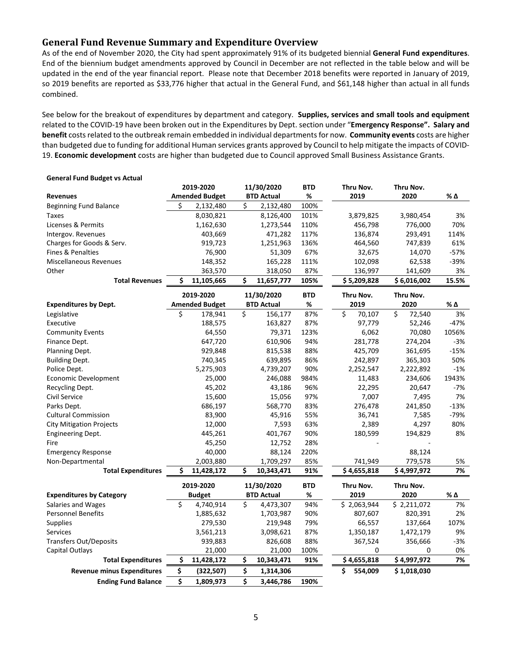## **General Fund Revenue Summary and Expenditure Overview**

As of the end of November 2020, the City had spent approximately 91% of its budgeted biennial **General Fund expenditures**. End of the biennium budget amendments approved by Council in December are not reflected in the table below and will be updated in the end of the year financial report. Please note that December 2018 benefits were reported in January of 2019, so 2019 benefits are reported as \$33,776 higher that actual in the General Fund, and \$61,148 higher than actual in all funds combined.

See below for the breakout of expenditures by department and category. **Supplies, services and small tools and equipment** related to the COVID-19 have been broken out in the Expenditures by Dept. section under "**Emergency Response". Salary and benefit** costs related to the outbreak remain embedded in individual departments for now. **Community events** costs are higher than budgeted due to funding for additional Human services grants approved by Council to help mitigate the impacts of COVID-19. **Economic development** costs are higher than budgeted due to Council approved Small Business Assistance Grants.

| Scribt at Turnal Duuget vs Actual |    |                       |    |                   |            |               |              |        |
|-----------------------------------|----|-----------------------|----|-------------------|------------|---------------|--------------|--------|
| 2019-2020                         |    | 11/30/2020            |    | <b>BTD</b>        | Thru Nov.  | Thru Nov.     |              |        |
| <b>Revenues</b>                   |    | <b>Amended Budget</b> |    | <b>BTD Actual</b> | %          | 2019          | 2020         | % Δ    |
| <b>Beginning Fund Balance</b>     | Ś  | 2,132,480             | Ś  | 2,132,480         | 100%       |               |              |        |
| <b>Taxes</b>                      |    | 8,030,821             |    | 8,126,400         | 101%       | 3,879,825     | 3,980,454    | 3%     |
| Licenses & Permits                |    | 1,162,630             |    | 1,273,544         | 110%       | 456,798       | 776,000      | 70%    |
| Intergov. Revenues                |    | 403,669               |    | 471,282           | 117%       | 136,874       | 293,491      | 114%   |
| Charges for Goods & Serv.         |    | 919,723               |    | 1,251,963         | 136%       | 464,560       | 747,839      | 61%    |
| <b>Fines &amp; Penalties</b>      |    | 76,900                |    | 51,309            | 67%        | 32,675        | 14,070       | $-57%$ |
| <b>Miscellaneous Revenues</b>     |    | 148,352               |    | 165,228           | 111%       | 102,098       | 62,538       | $-39%$ |
| Other                             |    | 363,570               |    | 318,050           | 87%        | 136,997       | 141,609      | 3%     |
| <b>Total Revenues</b>             | Ś  | 11,105,665            | \$ | 11,657,777        | 105%       | \$5,209,828   | \$6,016,002  | 15.5%  |
|                                   |    | 2019-2020             |    | 11/30/2020        | <b>BTD</b> | Thru Nov.     | Thru Nov.    |        |
| <b>Expenditures by Dept.</b>      |    | <b>Amended Budget</b> |    | <b>BTD Actual</b> | %          | 2019          | 2020         | % Δ    |
| Legislative                       | Ś  | 178,941               | Ś. | 156,177           | 87%        | Ś<br>70,107   | \$<br>72,540 | 3%     |
| Executive                         |    | 188,575               |    | 163,827           | 87%        | 97,779        | 52,246       | $-47%$ |
| <b>Community Events</b>           |    | 64,550                |    | 79,371            | 123%       | 6,062         | 70,080       | 1056%  |
| Finance Dept.                     |    | 647,720               |    | 610,906           | 94%        | 281,778       | 274,204      | $-3%$  |
| Planning Dept.                    |    | 929,848               |    | 815,538           | 88%        | 425,709       | 361,695      | $-15%$ |
| <b>Building Dept.</b>             |    | 740,345               |    | 639,895           | 86%        | 242,897       | 365,303      | 50%    |
| Police Dept.                      |    | 5,275,903             |    | 4,739,207         | 90%        | 2,252,547     | 2,222,892    | $-1%$  |
| <b>Economic Development</b>       |    | 25,000                |    | 246,088           | 984%       | 11,483        | 234,606      | 1943%  |
| Recycling Dept.                   |    | 45,202                |    | 43,186            | 96%        | 22,295        | 20,647       | -7%    |
| Civil Service                     |    | 15,600                |    | 15,056            | 97%        | 7,007         | 7,495        | 7%     |
| Parks Dept.                       |    | 686,197               |    | 568,770           | 83%        | 276,478       | 241,850      | $-13%$ |
| <b>Cultural Commission</b>        |    | 83,900                |    | 45,916            | 55%        | 36,741        | 7,585        | $-79%$ |
| <b>City Mitigation Projects</b>   |    | 12,000                |    | 7,593             | 63%        | 2,389         | 4,297        | 80%    |
| <b>Engineering Dept.</b>          |    | 445,261               |    | 401,767           | 90%        | 180,599       | 194,829      | 8%     |
| Fire                              |    | 45,250                |    | 12,752            | 28%        |               |              |        |
| <b>Emergency Response</b>         |    | 40,000                |    | 88,124            | 220%       |               | 88,124       |        |
| Non-Departmental                  |    | 2,003,880             |    | 1,709,297         | 85%        | 741,949       | 779,578      | 5%     |
| <b>Total Expenditures</b>         | \$ | 11,428,172            | Ś  | 10,343,471        | 91%        | \$4,655,818   | \$4,997,972  | 7%     |
|                                   |    | 2019-2020             |    | 11/30/2020        | <b>BTD</b> | Thru Nov.     | Thru Nov.    |        |
| <b>Expenditures by Category</b>   |    | <b>Budget</b>         |    | <b>BTD Actual</b> | %          | 2019          | 2020         | % Δ    |
| Salaries and Wages                | \$ | 4,740,914             | \$ | 4,473,307         | 94%        | \$2,063,944   | \$2,211,072  | 7%     |
| <b>Personnel Benefits</b>         |    | 1,885,632             |    | 1,703,987         | 90%        | 807,607       | 820,391      | 2%     |
| Supplies                          |    | 279,530               |    | 219,948           | 79%        | 66,557        | 137,664      | 107%   |
| <b>Services</b>                   |    | 3,561,213             |    | 3,098,621         | 87%        | 1,350,187     | 1,472,179    | 9%     |
| <b>Transfers Out/Deposits</b>     |    | 939,883               |    | 826,608           | 88%        | 367,524       | 356,666      | $-3%$  |
| Capital Outlays                   |    | 21,000                |    | 21,000            | 100%       | 0             | 0            | 0%     |
| <b>Total Expenditures</b>         | \$ | 11,428,172            | \$ | 10,343,471        | 91%        | \$4,655,818   | \$4,997,972  | 7%     |
| <b>Revenue minus Expenditures</b> | \$ | (322, 507)            | \$ | 1,314,306         |            | \$<br>554,009 | \$1,018,030  |        |
| <b>Ending Fund Balance</b>        | \$ | 1,809,973             | \$ | 3,446,786         | 190%       |               |              |        |

#### **General Fund Budget vs Actual**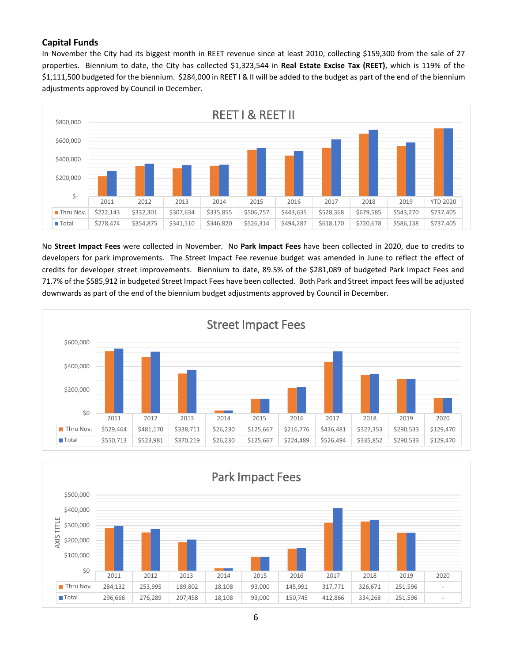## **Capital Funds**

In November the City had its biggest month in REET revenue since at least 2010, collecting \$159,300 from the sale of 27 properties. Biennium to date, the City has collected \$1,323,544 in **Real Estate Excise Tax (REET)**, which is 119% of the \$1,111,500 budgeted for the biennium. \$284,000 in REET I & II will be added to the budget as part of the end of the biennium adjustments approved by Council in December.



No **Street Impact Fees** were collected in November. No **Park Impact Fees** have been collected in 2020, due to credits to developers for park improvements. The Street Impact Fee revenue budget was amended in June to reflect the effect of credits for developer street improvements. Biennium to date, 89.5% of the \$281,089 of budgeted Park Impact Fees and 71.7% of the \$585,912 in budgeted Street Impact Fees have been collected. Both Park and Street impact fees will be adjusted downwards as part of the end of the biennium budget adjustments approved by Council in December.



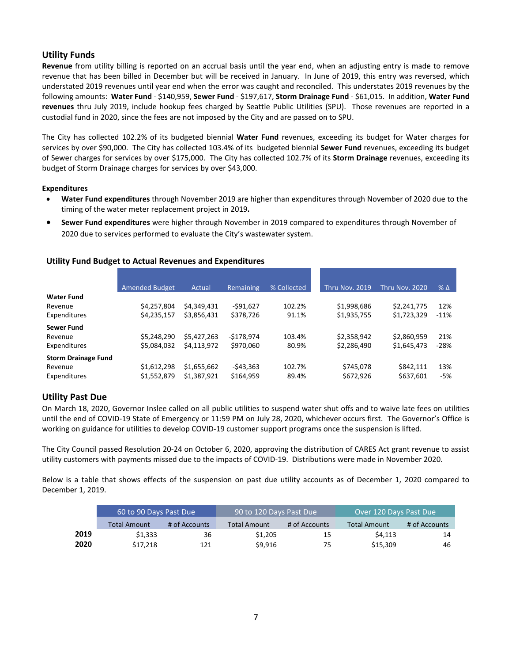## **Utility Funds**

**Revenue** from utility billing is reported on an accrual basis until the year end, when an adjusting entry is made to remove revenue that has been billed in December but will be received in January. In June of 2019, this entry was reversed, which understated 2019 revenues until year end when the error was caught and reconciled. This understates 2019 revenues by the following amounts: **Water Fund** - \$140,959, **Sewer Fund** - \$197,617, **Storm Drainage Fund** - \$61,015. In addition, **Water Fund revenues** thru July 2019, include hookup fees charged by Seattle Public Utilities (SPU). Those revenues are reported in a custodial fund in 2020, since the fees are not imposed by the City and are passed on to SPU.

The City has collected 102.2% of its budgeted biennial **Water Fund** revenues, exceeding its budget for Water charges for services by over \$90,000. The City has collected 103.4% of its budgeted biennial **Sewer Fund** revenues, exceeding its budget of Sewer charges for services by over \$175,000. The City has collected 102.7% of its **Storm Drainage** revenues, exceeding its budget of Storm Drainage charges for services by over \$43,000.

## **Expenditures**

- **Water Fund expenditures** through November 2019 are higher than expenditures through November of 2020 due to the timing of the water meter replacement project in 2019**.**
- **Sewer Fund expenditures** were higher through November in 2019 compared to expenditures through November of 2020 due to services performed to evaluate the City's wastewater system.

|                            | <b>Amended Budget</b> | Actual      | Remaining  | % Collected | Thru Nov. 2019 | Thru Nov. 2020 | $% \Delta$ |
|----------------------------|-----------------------|-------------|------------|-------------|----------------|----------------|------------|
| <b>Water Fund</b>          |                       |             |            |             |                |                |            |
| Revenue                    | \$4,257,804           | \$4,349,431 | $-591,627$ | 102.2%      | \$1,998,686    | \$2,241,775    | 12%        |
| Expenditures               | \$4,235,157           | \$3,856,431 | \$378,726  | 91.1%       | \$1,935,755    | \$1,723,329    | $-11%$     |
| Sewer Fund                 |                       |             |            |             |                |                |            |
| Revenue                    | \$5,248,290           | \$5,427,263 | -\$178,974 | 103.4%      | \$2,358,942    | \$2,860,959    | 21%        |
| Expenditures               | \$5,084,032           | \$4,113,972 | \$970,060  | 80.9%       | \$2,286,490    | \$1,645,473    | $-28%$     |
| <b>Storm Drainage Fund</b> |                       |             |            |             |                |                |            |
| Revenue                    | \$1,612,298           | \$1,655,662 | $-543,363$ | 102.7%      | \$745,078      | \$842.111      | 13%        |
| Expenditures               | \$1,552,879           | \$1,387,921 | \$164,959  | 89.4%       | \$672,926      | \$637,601      | -5%        |

## **Utility Past Due**

On March 18, 2020, Governor Inslee called on all public utilities to suspend water shut offs and to waive late fees on utilities until the end of COVID-19 State of Emergency or 11:59 PM on July 28, 2020, whichever occurs first. The Governor's Office is working on guidance for utilities to develop COVID-19 customer support programs once the suspension is lifted.

The City Council passed Resolution 20-24 on October 6, 2020, approving the distribution of CARES Act grant revenue to assist utility customers with payments missed due to the impacts of COVID-19. Distributions were made in November 2020.

Below is a table that shows effects of the suspension on past due utility accounts as of December 1, 2020 compared to December 1, 2019.

|      | 60 to 90 Days Past Due |                                      | 90 to 120 Days Past Due |               | Over 120 Days Past Due |               |  |
|------|------------------------|--------------------------------------|-------------------------|---------------|------------------------|---------------|--|
|      | <b>Total Amount</b>    | # of Accounts<br><b>Total Amount</b> |                         | # of Accounts | <b>Total Amount</b>    | # of Accounts |  |
| 2019 | \$1.333                | 36                                   | \$1,205                 | 15            | \$4.113                | 14            |  |
| 2020 | \$17.218               | 121                                  | \$9.916                 | 75            | \$15,309               | 46            |  |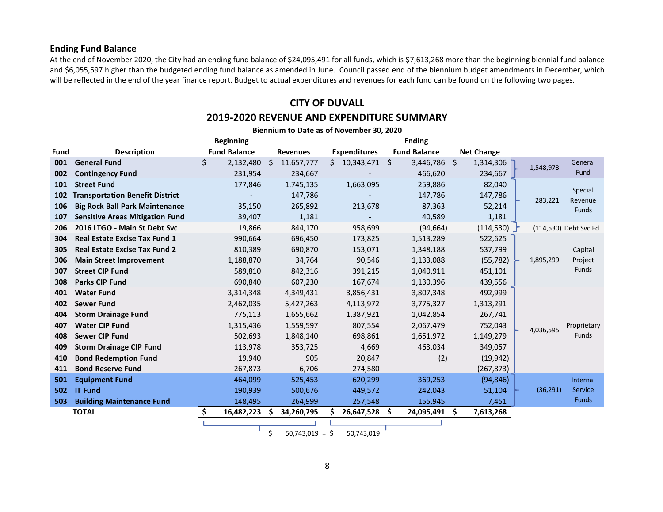## **Ending Fund Balance**

At the end of November 2020, the City had an ending fund balance of \$24,095,491 for all funds, which is \$7,613,268 more than the beginning biennial fund balance and \$6,055,597 higher than the budgeted ending fund balance as amended in June. Council passed end of the biennium budget amendments in December, which will be reflected in the end of the year finance report. Budget to actual expenditures and revenues for each fund can be found on the following two pages.

# **CITY OF DUVALL**

## **2019-2020 REVENUE AND EXPENDITURE SUMMARY**

|             | Biennium to Date as of November 30, 2020 |                     |            |    |                 |    |                     |    |                     |   |                   |  |           |                                    |
|-------------|------------------------------------------|---------------------|------------|----|-----------------|----|---------------------|----|---------------------|---|-------------------|--|-----------|------------------------------------|
|             |                                          | <b>Beginning</b>    |            |    |                 |    |                     |    | <b>Ending</b>       |   |                   |  |           |                                    |
| <b>Fund</b> | <b>Description</b>                       | <b>Fund Balance</b> |            |    | <b>Revenues</b> |    | <b>Expenditures</b> |    | <b>Fund Balance</b> |   | <b>Net Change</b> |  |           |                                    |
| 001         | <b>General Fund</b>                      | Ś                   | 2,132,480  | -S | 11,657,777      | S. | 10,343,471 \$       |    | 3,446,786 \$        |   | 1,314,306         |  | 1,548,973 | General                            |
| 002         | <b>Contingency Fund</b>                  |                     | 231,954    |    | 234,667         |    |                     |    | 466,620             |   | 234,667           |  |           | Fund                               |
| 101         | <b>Street Fund</b>                       |                     | 177,846    |    | 1,745,135       |    | 1,663,095           |    | 259,886             |   | 82,040            |  |           | Special                            |
| 102         | <b>Transportation Benefit District</b>   |                     |            |    | 147,786         |    |                     |    | 147,786             |   | 147,786           |  | 283,221   | Revenue<br>Funds                   |
| 106         | <b>Big Rock Ball Park Maintenance</b>    |                     | 35,150     |    | 265,892         |    | 213,678             |    | 87,363              |   | 52,214            |  |           |                                    |
| 107         | <b>Sensitive Areas Mitigation Fund</b>   |                     | 39,407     |    | 1,181           |    |                     |    | 40,589              |   | 1,181             |  |           |                                    |
| 206         | 2016 LTGO - Main St Debt Svc             |                     | 19,866     |    | 844,170         |    | 958,699             |    | (94, 664)           |   | (114,530)         |  |           | (114,530) Debt Svc Fd              |
| 304         | <b>Real Estate Excise Tax Fund 1</b>     |                     | 990,664    |    | 696,450         |    | 173,825             |    | 1,513,289           |   | 522,625           |  |           | Capital<br>Project<br><b>Funds</b> |
| 305         | <b>Real Estate Excise Tax Fund 2</b>     |                     | 810,389    |    | 690,870         |    | 153,071             |    | 1,348,188           |   | 537,799           |  |           |                                    |
| 306         | <b>Main Street Improvement</b>           |                     | 1,188,870  |    | 34,764          |    | 90,546              |    | 1,133,088           |   | (55, 782)         |  | 1,895,299 |                                    |
| 307         | <b>Street CIP Fund</b>                   |                     | 589,810    |    | 842,316         |    | 391,215             |    | 1,040,911           |   | 451,101           |  |           |                                    |
| 308         | <b>Parks CIP Fund</b>                    |                     | 690,840    |    | 607,230         |    | 167,674             |    | 1,130,396           |   | 439,556           |  |           |                                    |
| 401         | <b>Water Fund</b>                        |                     | 3,314,348  |    | 4,349,431       |    | 3,856,431           |    | 3,807,348           |   | 492,999           |  |           |                                    |
| 402         | <b>Sewer Fund</b>                        |                     | 2,462,035  |    | 5,427,263       |    | 4,113,972           |    | 3,775,327           |   | 1,313,291         |  |           |                                    |
| 404         | <b>Storm Drainage Fund</b>               |                     | 775,113    |    | 1,655,662       |    | 1,387,921           |    | 1,042,854           |   | 267,741           |  |           |                                    |
| 407         | <b>Water CIP Fund</b>                    |                     | 1,315,436  |    | 1,559,597       |    | 807,554             |    | 2,067,479           |   | 752,043           |  | 4,036,595 | Proprietary                        |
| 408         | <b>Sewer CIP Fund</b>                    |                     | 502,693    |    | 1,848,140       |    | 698,861             |    | 1,651,972           |   | 1,149,279         |  |           | Funds                              |
| 409         | <b>Storm Drainage CIP Fund</b>           |                     | 113,978    |    | 353,725         |    | 4,669               |    | 463,034             |   | 349,057           |  |           |                                    |
| 410         | <b>Bond Redemption Fund</b>              |                     | 19,940     |    | 905             |    | 20,847              |    | (2)                 |   | (19, 942)         |  |           |                                    |
| 411         | <b>Bond Reserve Fund</b>                 |                     | 267,873    |    | 6,706           |    | 274,580             |    |                     |   | (267, 873)        |  |           |                                    |
| 501         | <b>Equipment Fund</b>                    |                     | 464,099    |    | 525,453         |    | 620,299             |    | 369,253             |   | (94, 846)         |  |           | Internal                           |
| 502         | <b>IT Fund</b>                           |                     | 190,939    |    | 500,676         |    | 449,572             |    | 242,043             |   | 51,104            |  | (36, 291) | Service                            |
| 503         | <b>Building Maintenance Fund</b>         |                     | 148,495    |    | 264,999         |    | 257,548             |    | 155,945             |   | 7,451             |  |           | Funds                              |
|             | <b>TOTAL</b>                             | Ŝ.                  | 16,482,223 | -S | 34,260,795      |    | 26,647,528          | -S | 24,095,491          | S | 7,613,268         |  |           |                                    |
|             |                                          |                     |            |    |                 |    |                     |    |                     |   |                   |  |           |                                    |

 $$50,743,019 = $50,743,019$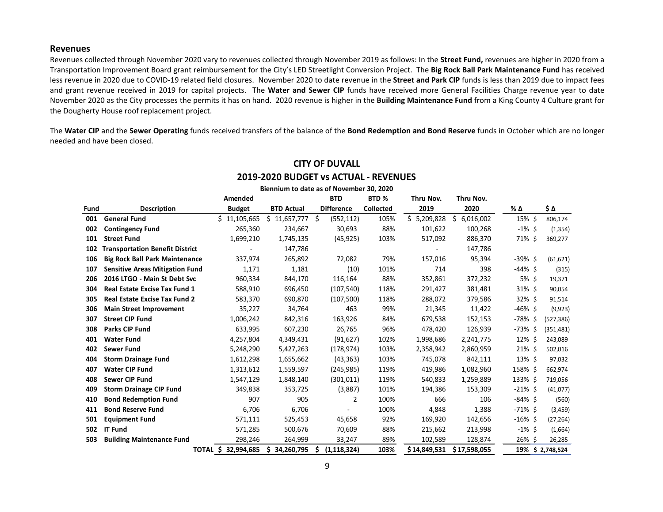#### **Revenues**

Revenues collected through November 2020 vary to revenues collected through November 2019 as follows: In the **Street Fund,** revenues are higher in 2020 from a Transportation Improvement Board grant reimbursement for the City's LED Streetlight Conversion Project. The **Big Rock Ball Park Maintenance Fund** has received less revenue in 2020 due to COVID-19 related field closures. November 2020 to date revenue in the **Street and Park CIP** funds is less than 2019 due to impact fees and grant revenue received in 2019 for capital projects. The **Water and Sewer CIP** funds have received more General Facilities Charge revenue year to date November 2020 as the City processes the permits it has on hand. 2020 revenue is higher in the **Building Maintenance Fund** from a King County 4 Culture grant for the Dougherty House roof replacement project.

The **Water CIP** and the **Sewer Operating** funds received transfers of the balance of the **Bond Redemption and Bond Reserve** funds in October which are no longer needed and have been closed.

|      |                                        | Amended                |           |                   |    | <b>BTD</b>               | BTD <sub>%</sub> |  | Thru Nov.    | Thru Nov.       |         |            |                  |
|------|----------------------------------------|------------------------|-----------|-------------------|----|--------------------------|------------------|--|--------------|-----------------|---------|------------|------------------|
| Fund | <b>Description</b>                     | <b>Budget</b>          |           | <b>BTD Actual</b> |    | <b>Difference</b>        | <b>Collected</b> |  | 2019         | 2020            |         | % Δ        | \$Δ              |
| 001  | <b>General Fund</b>                    | \$11,105,665           |           | \$11,657,777      | \$ | (552, 112)               | 105%             |  | \$5,209,828  | \$<br>6,016,002 |         | 15% \$     | 806,174          |
| 002  | <b>Contingency Fund</b>                |                        | 265,360   | 234,667           |    | 30,693                   | 88%              |  | 101,622      |                 | 100,268 | $-1\%$ \$  | (1, 354)         |
| 101  | <b>Street Fund</b>                     |                        | 1,699,210 | 1,745,135         |    | (45, 925)                | 103%             |  | 517,092      |                 | 886,370 | 71% \$     | 369,277          |
| 102  | <b>Transportation Benefit District</b> |                        |           | 147,786           |    |                          |                  |  |              |                 | 147,786 |            |                  |
| 106  | <b>Big Rock Ball Park Maintenance</b>  |                        | 337,974   | 265,892           |    | 72,082                   | 79%              |  | 157,016      |                 | 95,394  | $-39\%$ \$ | (61, 621)        |
| 107  | <b>Sensitive Areas Mitigation Fund</b> |                        | 1,171     | 1,181             |    | (10)                     | 101%             |  | 714          |                 | 398     | -44% \$    | (315)            |
| 206  | 2016 LTGO - Main St Debt Svc           |                        | 960,334   | 844,170           |    | 116,164                  | 88%              |  | 352,861      |                 | 372,232 | 5% \$      | 19,371           |
| 304  | Real Estate Excise Tax Fund 1          |                        | 588,910   | 696,450           |    | (107, 540)               | 118%             |  | 291,427      |                 | 381,481 | $31\%$ \$  | 90,054           |
| 305  | <b>Real Estate Excise Tax Fund 2</b>   |                        | 583,370   | 690,870           |    | (107, 500)               | 118%             |  | 288,072      |                 | 379,586 | $32\%$ \$  | 91,514           |
| 306  | <b>Main Street Improvement</b>         |                        | 35,227    | 34,764            |    | 463                      | 99%              |  | 21,345       |                 | 11,422  | -46% \$    | (9,923)          |
| 307  | <b>Street CIP Fund</b>                 |                        | 1,006,242 | 842,316           |    | 163,926                  | 84%              |  | 679,538      |                 | 152,153 | -78% \$    | (527, 386)       |
| 308  | <b>Parks CIP Fund</b>                  |                        | 633,995   | 607,230           |    | 26,765                   | 96%              |  | 478,420      |                 | 126,939 | -73% \$    | (351, 481)       |
| 401  | <b>Water Fund</b>                      |                        | 4,257,804 | 4,349,431         |    | (91, 627)                | 102%             |  | 1,998,686    | 2,241,775       |         | $12\%$ \$  | 243,089          |
| 402  | <b>Sewer Fund</b>                      |                        | 5,248,290 | 5,427,263         |    | (178, 974)               | 103%             |  | 2,358,942    | 2,860,959       |         | $21\%$ \$  | 502,016          |
| 404  | <b>Storm Drainage Fund</b>             |                        | 1,612,298 | 1,655,662         |    | (43, 363)                | 103%             |  | 745,078      |                 | 842,111 | 13% \$     | 97,032           |
| 407  | <b>Water CIP Fund</b>                  |                        | 1,313,612 | 1,559,597         |    | (245, 985)               | 119%             |  | 419,986      | 1,082,960       |         | 158% \$    | 662,974          |
| 408  | <b>Sewer CIP Fund</b>                  |                        | 1,547,129 | 1,848,140         |    | (301, 011)               | 119%             |  | 540,833      | 1,259,889       |         | 133% \$    | 719,056          |
| 409  | <b>Storm Drainage CIP Fund</b>         |                        | 349,838   | 353,725           |    | (3,887)                  | 101%             |  | 194,386      |                 | 153,309 | $-21\%$ \$ | (41,077)         |
| 410  | <b>Bond Redemption Fund</b>            |                        | 907       | 905               |    | 2                        | 100%             |  | 666          |                 | 106     | $-84\%$ \$ | (560)            |
| 411  | <b>Bond Reserve Fund</b>               |                        | 6,706     | 6,706             |    | $\overline{\phantom{a}}$ | 100%             |  | 4,848        |                 | 1,388   | $-71\%$ \$ | (3,459)          |
| 501  | <b>Equipment Fund</b>                  |                        | 571,111   | 525,453           |    | 45,658                   | 92%              |  | 169,920      |                 | 142,656 | $-16\%$ \$ | (27, 264)        |
| 502  | <b>IT Fund</b>                         |                        | 571,285   | 500,676           |    | 70,609                   | 88%              |  | 215,662      |                 | 213,998 | $-1\%$ \$  | (1,664)          |
| 503  | <b>Building Maintenance Fund</b>       |                        | 298,246   | 264,999           |    | 33,247                   | 89%              |  | 102,589      |                 | 128,874 | 26% \$     | 26,285           |
|      |                                        | TOTAL \$<br>32,994,685 |           | \$<br>34,260,795  | Ŝ  | (1, 118, 324)            | 103%             |  | \$14,849,531 | \$17,598,055    |         |            | 19% \$ 2,748,524 |

# **CITY OF DUVALL 2019-2020 BUDGET vs ACTUAL - REVENUES**